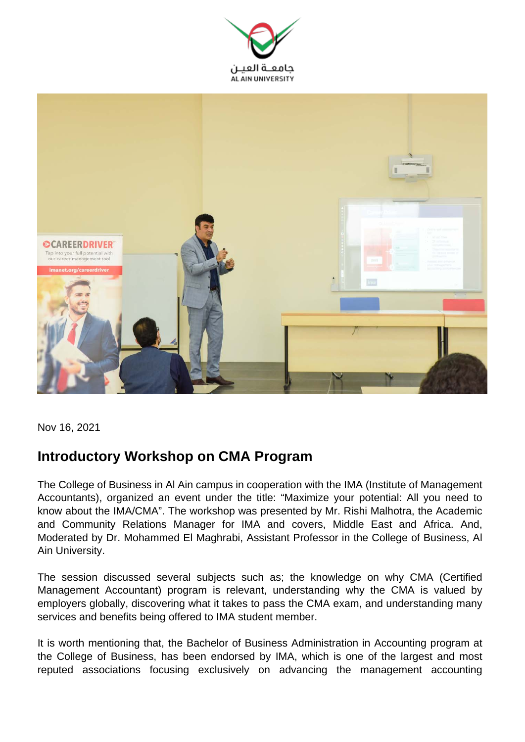



Nov 16, 2021

## **Introductory Workshop on CMA Program**

The College of Business in Al Ain campus in cooperation with the IMA (Institute of Management Accountants), organized an event under the title: "Maximize your potential: All you need to know about the IMA/CMA". The workshop was presented by Mr. Rishi Malhotra, the Academic and Community Relations Manager for IMA and covers, Middle East and Africa. And, Moderated by Dr. Mohammed El Maghrabi, Assistant Professor in the College of Business, Al Ain University.

The session discussed several subjects such as; the knowledge on why CMA (Certified Management Accountant) program is relevant, understanding why the CMA is valued by employers globally, discovering what it takes to pass the CMA exam, and understanding many services and benefits being offered to IMA student member.

It is worth mentioning that, the Bachelor of Business Administration in Accounting program at the College of Business, has been endorsed by IMA, which is one of the largest and most reputed associations focusing exclusively on advancing the management accounting